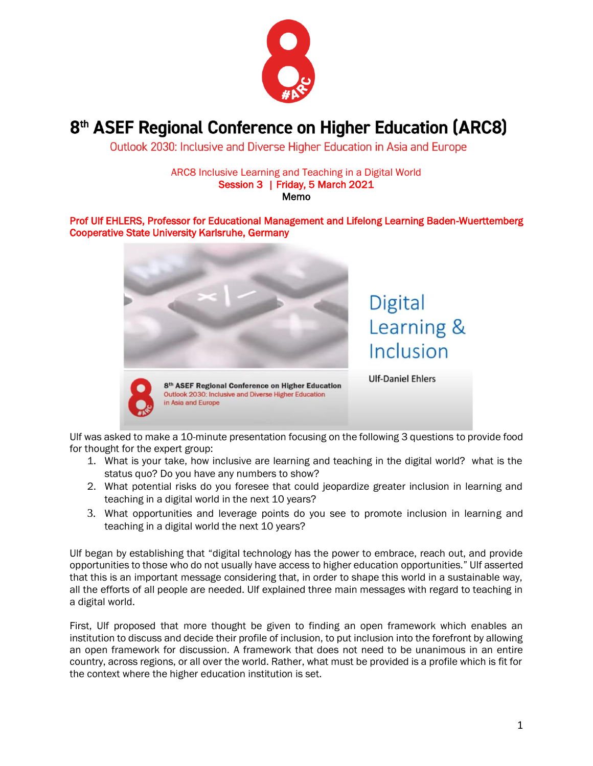

## 8<sup>th</sup> ASEF Regional Conference on Higher Education (ARC8)

Outlook 2030: Inclusive and Diverse Higher Education in Asia and Europe

## ARC8 Inclusive Learning and Teaching in a Digital World Session 3 | Friday, 5 March 2021 Memo

Prof Ulf EHLERS, Professor for Educational Management and Lifelong Learning Baden-Wuerttemberg Cooperative State University Karlsruhe, Germany



Ulf was asked to make a 10-minute presentation focusing on the following 3 questions to provide food for thought for the expert group:

- 1. What is your take, how inclusive are learning and teaching in the digital world? what is the status quo? Do you have any numbers to show?
- 2. What potential risks do you foresee that could jeopardize greater inclusion in learning and teaching in a digital world in the next 10 years?
- 3. What opportunities and leverage points do you see to promote inclusion in learning and teaching in a digital world the next 10 years?

Ulf began by establishing that "digital technology has the power to embrace, reach out, and provide opportunities to those who do not usually have access to higher education opportunities." Ulf asserted that this is an important message considering that, in order to shape this world in a sustainable way, all the efforts of all people are needed. Ulf explained three main messages with regard to teaching in a digital world.

First, Ulf proposed that more thought be given to finding an open framework which enables an institution to discuss and decide their profile of inclusion, to put inclusion into the forefront by allowing an open framework for discussion. A framework that does not need to be unanimous in an entire country, across regions, or all over the world. Rather, what must be provided is a profile which is fit for the context where the higher education institution is set.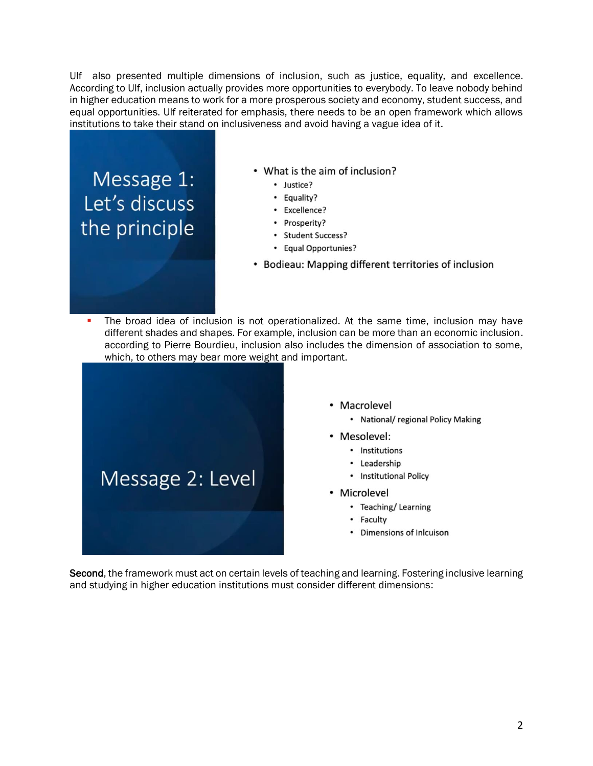Ulf also presented multiple dimensions of inclusion, such as justice, equality, and excellence. According to Ulf, inclusion actually provides more opportunities to everybody. To leave nobody behind in higher education means to work for a more prosperous society and economy, student success, and equal opportunities. Ulf reiterated for emphasis, there needs to be an open framework which allows institutions to take their stand on inclusiveness and avoid having a vague idea of it.

Message 1: Let's discuss the principle

- What is the aim of inclusion?
	- · Justice?
	- · Equality?
	- Excellence?
	- Prosperity?
	- Student Success?
	- Equal Opportunies?
- Bodieau: Mapping different territories of inclusion
- ò. The broad idea of inclusion is not operationalized. At the same time, inclusion may have different shades and shapes. For example, inclusion can be more than an economic inclusion. according to Pierre Bourdieu, inclusion also includes the dimension of association to some, which, to others may bear more weight and important.



- Macrolevel
	- National/ regional Policy Making
- Mesolevel:
	- Institutions
	- Leadership
	- Institutional Policy
- Microlevel
	- Teaching/Learning
	- Faculty
	- Dimensions of Inlcuison

Second, the framework must act on certain levels of teaching and learning. Fostering inclusive learning and studying in higher education institutions must consider different dimensions: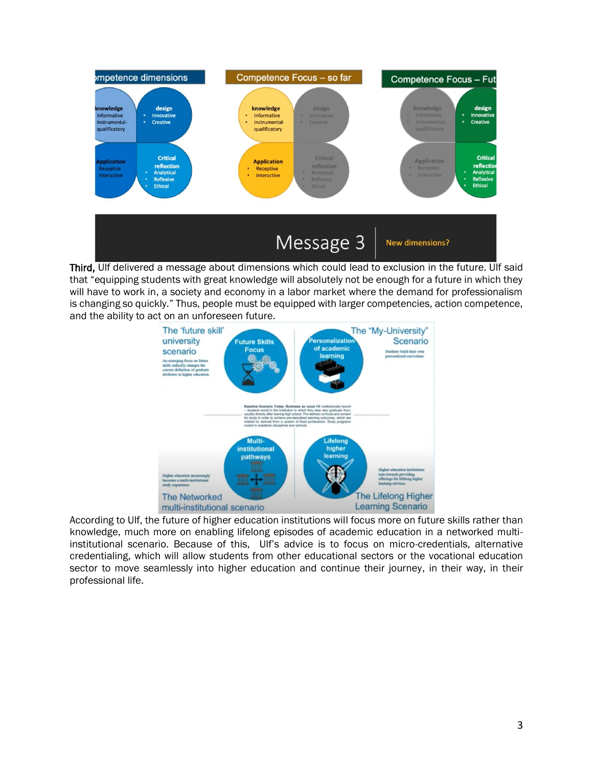

Third, Ulf delivered a message about dimensions which could lead to exclusion in the future. Ulf said that "equipping students with great knowledge will absolutely not be enough for a future in which they will have to work in, a society and economy in a labor market where the demand for professionalism is changing so quickly." Thus, people must be equipped with larger competencies, action competence, and the ability to act on an unforeseen future.



According to Ulf, the future of higher education institutions will focus more on future skills rather than knowledge, much more on enabling lifelong episodes of academic education in a networked multiinstitutional scenario. Because of this, Ulf's advice is to focus on micro-credentials, alternative credentialing, which will allow students from other educational sectors or the vocational education sector to move seamlessly into higher education and continue their journey, in their way, in their professional life.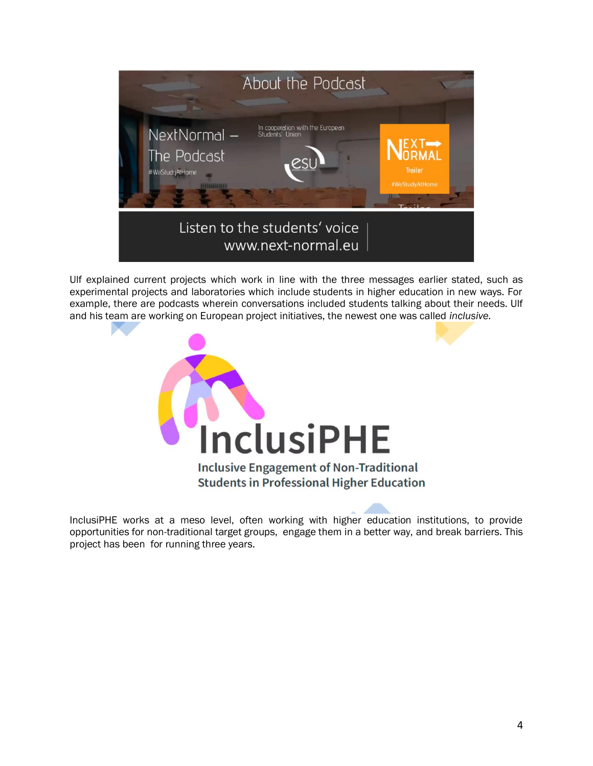

Ulf explained current projects which work in line with the three messages earlier stated, such as experimental projects and laboratories which include students in higher education in new ways. For example, there are podcasts wherein conversations included students talking about their needs. Ulf and his team are working on European project initiatives, the newest one was called *inclusive.*



InclusiPHE works at a meso level, often working with higher education institutions, to provide opportunities for non-traditional target groups, engage them in a better way, and break barriers. This project has been for running three years.